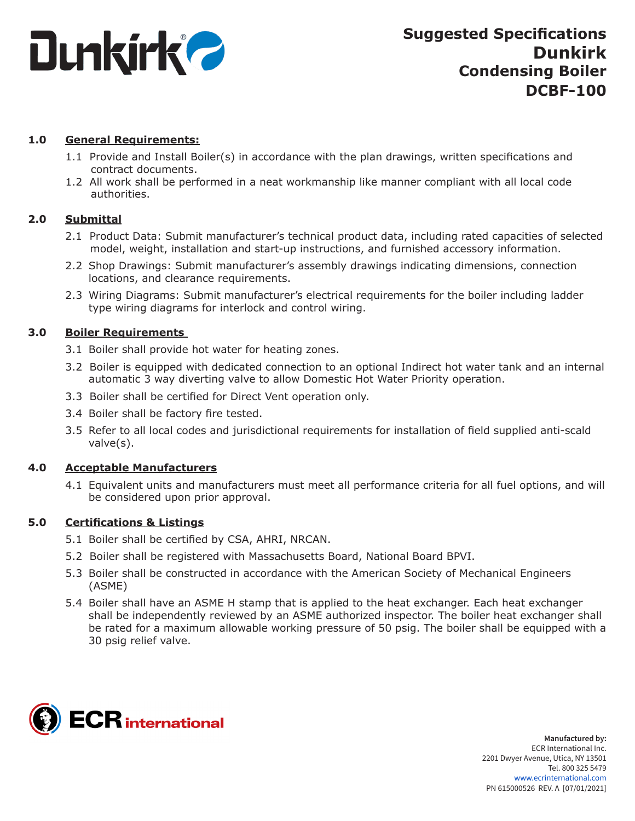

# **1.0 General Requirements:**

- 1.1 Provide and Install Boiler(s) in accordance with the plan drawings, written specifications and contract documents.
- 1.2 All work shall be performed in a neat workmanship like manner compliant with all local code authorities.

# **2.0 Submittal**

- 2.1 Product Data: Submit manufacturer's technical product data, including rated capacities of selected model, weight, installation and start-up instructions, and furnished accessory information.
- 2.2 Shop Drawings: Submit manufacturer's assembly drawings indicating dimensions, connection locations, and clearance requirements.
- 2.3 Wiring Diagrams: Submit manufacturer's electrical requirements for the boiler including ladder type wiring diagrams for interlock and control wiring.

## **3.0 Boiler Requirements**

- 3.1 Boiler shall provide hot water for heating zones.
- 3.2 Boiler is equipped with dedicated connection to an optional Indirect hot water tank and an internal automatic 3 way diverting valve to allow Domestic Hot Water Priority operation.
- 3.3 Boiler shall be certified for Direct Vent operation only.
- 3.4 Boiler shall be factory fire tested.
- 3.5 Refer to all local codes and jurisdictional requirements for installation of field supplied anti-scald valve(s).

## **4.0 Acceptable Manufacturers**

4.1 Equivalent units and manufacturers must meet all performance criteria for all fuel options, and will be considered upon prior approval.

## **5.0 Certifications & Listings**

- 5.1 Boiler shall be certified by CSA, AHRI, NRCAN.
- 5.2 Boiler shall be registered with Massachusetts Board, National Board BPVI.
- 5.3 Boiler shall be constructed in accordance with the American Society of Mechanical Engineers (ASME)
- 5.4 Boiler shall have an ASME H stamp that is applied to the heat exchanger. Each heat exchanger shall be independently reviewed by an ASME authorized inspector. The boiler heat exchanger shall be rated for a maximum allowable working pressure of 50 psig. The boiler shall be equipped with a 30 psig relief valve.

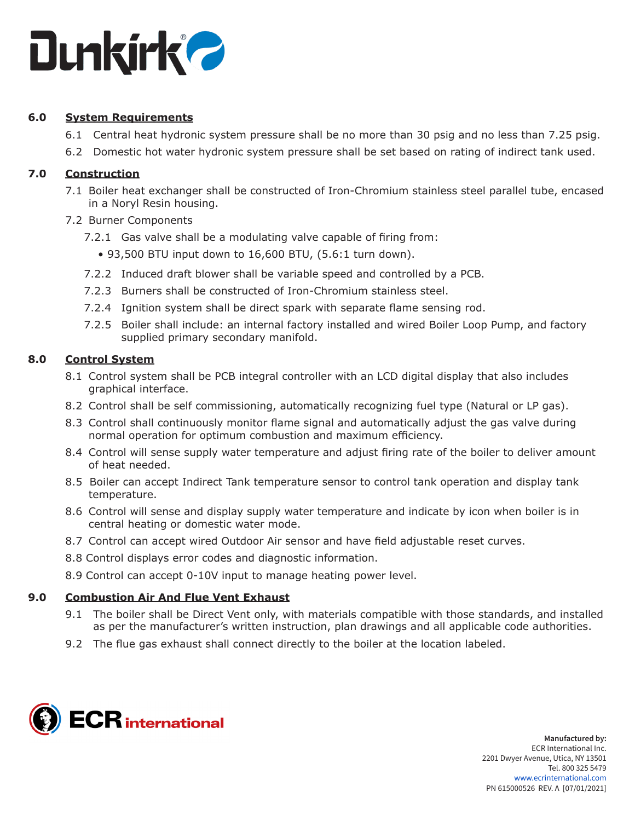

# **6.0 System Requirements**

- 6.1 Central heat hydronic system pressure shall be no more than 30 psig and no less than 7.25 psig.
- 6.2 Domestic hot water hydronic system pressure shall be set based on rating of indirect tank used.

## **7.0 Construction**

- 7.1 Boiler heat exchanger shall be constructed of Iron-Chromium stainless steel parallel tube, encased in a Noryl Resin housing.
- 7.2 Burner Components
	- 7.2.1 Gas valve shall be a modulating valve capable of firing from:
		- 93,500 BTU input down to 16,600 BTU, (5.6:1 turn down).
	- 7.2.2 Induced draft blower shall be variable speed and controlled by a PCB.
	- 7.2.3 Burners shall be constructed of Iron-Chromium stainless steel.
	- 7.2.4 Ignition system shall be direct spark with separate flame sensing rod.
	- 7.2.5 Boiler shall include: an internal factory installed and wired Boiler Loop Pump, and factory supplied primary secondary manifold.

## **8.0 Control System**

- 8.1 Control system shall be PCB integral controller with an LCD digital display that also includes graphical interface.
- 8.2 Control shall be self commissioning, automatically recognizing fuel type (Natural or LP gas).
- 8.3 Control shall continuously monitor flame signal and automatically adjust the gas valve during normal operation for optimum combustion and maximum efficiency.
- 8.4 Control will sense supply water temperature and adjust firing rate of the boiler to deliver amount of heat needed.
- 8.5 Boiler can accept Indirect Tank temperature sensor to control tank operation and display tank temperature.
- 8.6 Control will sense and display supply water temperature and indicate by icon when boiler is in central heating or domestic water mode.
- 8.7 Control can accept wired Outdoor Air sensor and have field adjustable reset curves.
- 8.8 Control displays error codes and diagnostic information.
- 8.9 Control can accept 0-10V input to manage heating power level.

## **9.0 Combustion Air And Flue Vent Exhaust**

- 9.1 The boiler shall be Direct Vent only, with materials compatible with those standards, and installed as per the manufacturer's written instruction, plan drawings and all applicable code authorities.
- 9.2 The flue gas exhaust shall connect directly to the boiler at the location labeled.